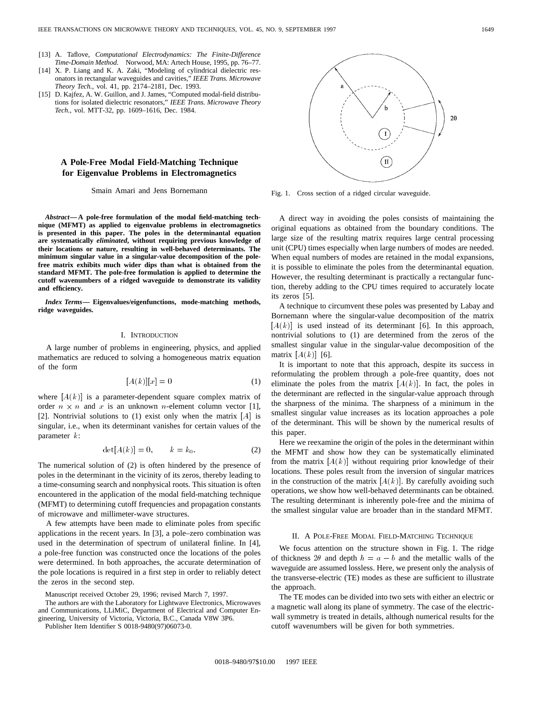- [13] A. Taflove, *Computational Electrodynamics: The Finite-Difference Time-Domain Method*. Norwood, MA: Artech House, 1995, pp. 76–77.
- [14] X. P. Liang and K. A. Zaki, "Modeling of cylindrical dielectric resonators in rectangular waveguides and cavities," *IEEE Trans. Microwave Theory Tech.*, vol. 41, pp. 2174–2181, Dec. 1993.
- [15] D. Kajfez, A. W. Guillon, and J. James, "Computed modal-field distributions for isolated dielectric resonators," *IEEE Trans. Microwave Theory Tech.*, vol. MTT-32, pp. 1609–1616, Dec. 1984.

## **A Pole-Free Modal Field-Matching Technique for Eigenvalue Problems in Electromagnetics**

Smain Amari and Jens Bornemann

*Abstract—***A pole-free formulation of the modal field-matching technique (MFMT) as applied to eigenvalue problems in electromagnetics is presented in this paper. The poles in the determinantal equation are systematically** *eliminated***, without requiring previous knowledge of their locations or nature, resulting in well-behaved determinants. The minimum singular value in a singular-value decomposition of the polefree matrix exhibits much wider dips than what is obtained from the standard MFMT. The pole-free formulation is applied to determine the cutoff wavenumbers of a ridged waveguide to demonstrate its validity and efficiency.**

*Index Terms—* **Eigenvalues/eigenfunctions, mode-matching methods, ridge waveguides.**

## I. INTRODUCTION

A large number of problems in engineering, physics, and applied mathematics are reduced to solving a homogeneous matrix equation of the form

$$
[A(k)][x] = 0 \tag{1}
$$

where  $[A(k)]$  is a parameter-dependent square complex matrix of order  $n \times n$  and x is an unknown n-element column vector [1], [2]. Nontrivial solutions to (1) exist only when the matrix  $[A]$  is singular, i.e., when its determinant vanishes for certain values of the parameter k:

$$
\det[A(k)] = 0, \qquad k = k_0. \tag{2}
$$

The numerical solution of (2) is often hindered by the presence of poles in the determinant in the vicinity of its zeros, thereby leading to a time-consuming search and nonphysical roots. This situation is often encountered in the application of the modal field-matching technique (MFMT) to determining cutoff frequencies and propagation constants of microwave and millimeter-wave structures.

A few attempts have been made to eliminate poles from specific applications in the recent years. In [3], a pole–zero combination was used in the determination of spectrum of unilateral finline. In [4], a pole-free function was constructed once the locations of the poles were determined. In both approaches, the accurate determination of the pole locations is required in a first step in order to reliably detect the zeros in the second step.

Manuscript received October 29, 1996; revised March 7, 1997.

The authors are with the Laboratory for Lightwave Electronics, Microwaves and Communications, LLiMiC, Department of Electrical and Computer Engineering, University of Victoria, Victoria, B.C., Canada V8W 3P6.

Publisher Item Identifier S 0018-9480(97)06073-0.

Fig. 1. Cross section of a ridged circular waveguide.

A direct way in avoiding the poles consists of maintaining the original equations as obtained from the boundary conditions. The large size of the resulting matrix requires large central processing unit (CPU) times especially when large numbers of modes are needed. When equal numbers of modes are retained in the modal expansions, it is possible to eliminate the poles from the determinantal equation. However, the resulting determinant is practically a rectangular function, thereby adding to the CPU times required to accurately locate its zeros [5].

A technique to circumvent these poles was presented by Labay and Bornemann where the singular-value decomposition of the matrix  $[A(k)]$  is used instead of its determinant [6]. In this approach, nontrivial solutions to (1) are determined from the zeros of the smallest singular value in the singular-value decomposition of the matrix  $[A(k)]$  [6].

It is important to note that this approach, despite its success in reformulating the problem through a pole-free quantity, does not eliminate the poles from the matrix  $[A(k)]$ . In fact, the poles in the determinant are reflected in the singular-value approach through the sharpness of the minima. The sharpness of a minimum in the smallest singular value increases as its location approaches a pole of the determinant. This will be shown by the numerical results of this paper.

Here we reexamine the origin of the poles in the determinant within the MFMT and show how they can be systematically eliminated from the matrix  $[A(k)]$  without requiring prior knowledge of their locations. These poles result from the inversion of singular matrices in the construction of the matrix  $[A(k)]$ . By carefully avoiding such operations, we show how well-behaved determinants can be obtained. The resulting determinant is inherently pole-free and the minima of the smallest singular value are broader than in the standard MFMT.

### II. A POLE-FREE MODAL FIELD-MATCHING TECHNIQUE

We focus attention on the structure shown in Fig. 1. The ridge of thickness 2 $\theta$  and depth  $h = a - b$  and the metallic walls of the waveguide are assumed lossless. Here, we present only the analysis of the transverse-electric (TE) modes as these are sufficient to illustrate the approach.

The TE modes can be divided into two sets with either an electric or a magnetic wall along its plane of symmetry. The case of the electricwall symmetry is treated in details, although numerical results for the cutoff wavenumbers will be given for both symmetries.

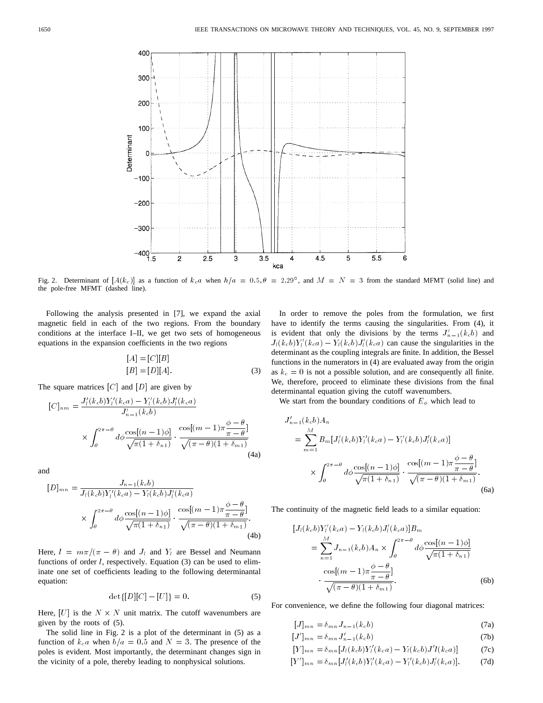

Fig. 2. Determinant of  $[A(k_c)]$  as a function of  $k_c a$  when  $h/a = 0.5$ ,  $\theta = 2.29^{\circ}$ , and  $M = N = 3$  from the standard MFMT (solid line) and the pole-free MFMT (dashed line).

Following the analysis presented in [7], we expand the axial magnetic field in each of the two regions. From the boundary conditions at the interface I–II, we get two sets of homogeneous equations in the expansion coefficients in the two regions

$$
[A] = [C][B]
$$
  
\n
$$
[B] = [D][A].
$$
  
\n
$$
[C]
$$
 and 
$$
[D]
$$
 are given by  
\n
$$
i'(k_c a) - Y_i'(k_c b) J_i'(k_c a)
$$
 (3)

The square matrices  $[C]$  and  $[D]$  are given by

$$
[C]_{n m} = \frac{J'_l(k_c b)Y'_l(k_c a) - Y'_l(k_c b)J'_l(k_c a)}{J'_{n-1}(k_c b)}
$$

$$
\times \int_{\theta}^{2\pi - \theta} d\phi \frac{\cos[(n-1)\phi]}{\sqrt{\pi(1 + \delta_{n1})}} \cdot \frac{\cos[(m-1)\pi \frac{\phi - \theta}{\pi - \theta}]}{\sqrt{(\pi - \theta)(1 + \delta_{m1})}}
$$
(4a)

and

$$
[D]_{mn} = \frac{J_{n-1}(k_c b)}{J_l(k_c b)Y'_l(k_c a) - Y_l(k_c b)J'_l(k_c a)} \times \int_{\theta}^{2\pi - \theta} d\phi \frac{\cos[(n-1)\phi]}{\sqrt{\pi (1 + \delta_{n1})}} \cdot \frac{\cos[(m-1)\pi \frac{\phi - \theta}{\pi - \theta}]}{\sqrt{(\pi - \theta)(1 + \delta_{m1})}}.
$$
\n(4b)

Here,  $l = m\pi/(\pi - \theta)$  and  $J_l$  and  $Y_l$  are Bessel and Neumann functions of order  $l$ , respectively. Equation (3) can be used to eliminate one set of coefficients leading to the following determinantal equation:

$$
\det\{[D][C] - [U]\} = 0.
$$
 (5)

Here,  $[U]$  is the  $N \times N$  unit matrix. The cutoff wavenumbers are given by the roots of (5).

The solid line in Fig. 2 is a plot of the determinant in (5) as a function of  $kca$  when  $b/a = 0.5$  and  $N = 3$ . The presence of the poles is evident. Most importantly, the determinant changes sign in the vicinity of a pole, thereby leading to nonphysical solutions.

In order to remove the poles from the formulation, we first have to identify the terms causing the singularities. From (4), it is evident that only the divisions by the terms  $J'_{n-1}(kcb)$  and  $J_l(k_c b)Y_l'(k_c a) - Y_l(k_c b)J_l'(k_c a)$  can cause the singularities in the determinant as the coupling integrals are finite. In addition, the Bessel functions in the numerators in (4) are evaluated away from the origin as  $k_c = 0$  is not a possible solution, and are consequently all finite. We, therefore, proceed to eliminate these divisions from the final determinantal equation giving the cutoff wavenumbers.

We start from the boundary conditions of  $E_{\phi}$  which lead to

$$
J'_{n-1}(k_c b) A_n
$$
  
= 
$$
\sum_{m=1}^{M} B_m [J'_l(k_c b)Y'_l(k_c a) - Y'_l(k_c b)J'_l(k_c a)]
$$
  

$$
\times \int_{\theta}^{2\pi - \theta} d\phi \frac{\cos[(n-1)\phi]}{\sqrt{\pi (1 + \delta_{n1})}} \cdot \frac{\cos[(m-1)\pi \frac{\phi - \theta}{\pi - \theta}]}{\sqrt{(\pi - \theta)(1 + \delta_{m1})}}.
$$
(6a)

The continuity of the magnetic field leads to a similar equation:

$$
[J_{l}(k_{c}b)Y'_{l}(k_{c}a) - Y_{l}(k_{c}b)J'_{l}(k_{c}a)]B_{m}
$$
  
\n
$$
= \sum_{n=1}^{M} J_{n-1}(k_{c}b)A_{n} \times \int_{\theta}^{2\pi - \theta} d\phi \frac{\cos[(n-1)\phi]}{\sqrt{\pi(1 + \delta_{n}1)}}
$$
  
\n
$$
\cdot \frac{\cos[(m-1)\pi \frac{\phi - \theta}{\pi - \theta}]}{\sqrt{(\pi - \theta)(1 + \delta_{m}1)}}.
$$
 (6b)

For convenience, we define the following four diagonal matrices:

$$
[J]_{mn} = \delta_{mn} J_{n-1}(k_c b)
$$
\n(7a)

$$
[J']_{mn} = \delta_{mn} J'_{n-1}(k_c b)
$$
 (7b)

$$
[Y]_{mn} = \delta_{mn} [J_l(k_c b)Y'_l(k_c a) - Y_l(k_c b)J'l(k_c a)] \tag{7c}
$$

$$
[Y']_{mn} = \delta_{mn} [J'_l(k_c b)Y'_l(k_c a) - Y'_l(k_c b)J'_l(k_c a)].
$$
 (7d)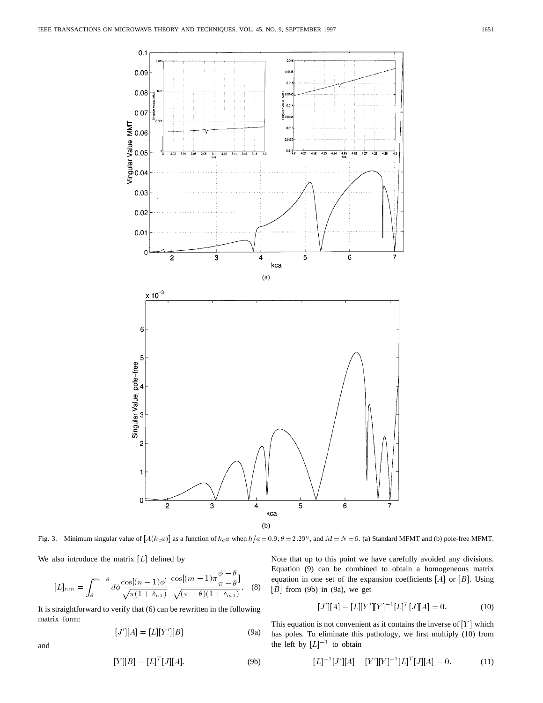

We also introduce the matrix  $[L]$  defined by

lso introduce the matrix [L] defined by  
\n
$$
[L]_{nm} = \int_{\theta}^{2\pi - \theta} d\phi \frac{\cos[(n-1)\phi]}{\sqrt{\pi (1 + \delta_{n1})}} \frac{\cos[(m-1)\pi \frac{\phi - \theta}{\pi - \theta}]}{\sqrt{(\pi - \theta)(1 + \delta_{m1})}}.
$$
 (8)

It is straightforward to verify that (6) can be rewritten in the following matrix form:

$$
[J'][A] = [L][Y'][B]
$$
 (9a)

$$
J ||A| = [L||Y||B] \t(9a)
$$

 $[Y][B] = [L]^T[J][A].$  (9b)

Fig. 3. Minimum singular value of  $[A(k_c a)]$  as a function of  $k_c a$  when  $h/a = 0.9$ ,  $\theta = 2.29^\circ$ , and  $M = N = 6$ . (a) Standard MFMT and (b) pole-free MFMT.<br>
We also introduce the matrix [L] defined by<br>
Note that up to this poi Note that up to this point we have carefully avoided any divisions. Equation (9) can be combined to obtain a homogeneous matrix equation in one set of the expansion coefficients [A] or [B]. Using<br>
[B] from (9b) in (9a), we get<br>  $[J'][A] - [L][Y'] [Y]^{-1} [L]^T [J][A] = 0.$  (10)  $[B]$  from (9b) in (9a), we get

$$
[J'][A] - [L][Y'][Y]^{-1} [L]^T [J][A] = 0.
$$
 (10)

This equation is not convenient as it contains the inverse of  $[Y]$  which has poles. To eliminate this pathology, we first multiply (10) from<br>the left by  $[L]^{-1}$  to obtain<br> $[L]^{-1}[J'][A] - [Y'][Y]^{-1}[L]^T[J][A] = 0.$  (11) the left by  $[L]^{-1}$  to obtain

$$
[L]^{-1}[J'][A] - [Y'][Y]^{-1}[L]^T[J][A] = 0.
$$
 (11)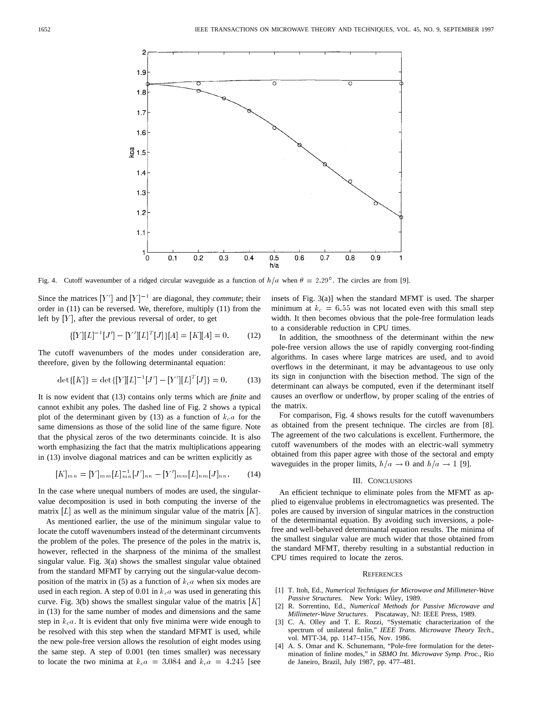

Fig. 4. Cutoff wavenumber of a ridged circular waveguide as a function of  $h/a$  when  $\theta = 2.29^{\circ}$ . The circles are from [9].

Since the matrices  $[Y']$  and  $[Y]^{-1}$  are diagonal, they *commute*; their order in (11) can be reversed. We, therefore, multiply (11) from the left by  $[Y]$ , after the previous reversal of order, to get

$$
\{[Y][L]^{-1}[J'] - [Y'][L]^T[J]\}[A] = [K][A] = 0.
$$
 (12)

The cutoff wavenumbers of the modes under consideration are, therefore, given by the following determinantal equation:

$$
\det\{[K]\} = \det\{[Y][L]^{-1}[J'] - [Y'][L]^T[J]\} = 0.
$$
 (13)

It is now evident that (13) contains only terms which are *finite* and cannot exhibit any poles. The dashed line of Fig. 2 shows a typical plot of the determinant given by (13) as a function of  $k<sub>c</sub>a$  for the same dimensions as those of the solid line of the same figure. Note that the physical zeros of the two determinants coincide. It is also worth emphasizing the fact that the matrix multiplications appearing in (13) involve diagonal matrices and can be written explicitly as

$$
[K]_{mn} = [Y]_{mm} [L]_{mn}^{-1} [J']_{nn} - [Y']_{mm} [L]_{nm} [J]_{nn}.
$$
 (14)

In the case where unequal numbers of modes are used, the singularvalue decomposition is used in both computing the inverse of the matrix  $[L]$  as well as the minimum singular value of the matrix  $[K]$ .

As mentioned earlier, the use of the minimum singular value to locate the cutoff wavenumbers instead of the determinant circumvents the problem of the poles. The presence of the poles in the matrix is, however, reflected in the sharpness of the minima of the smallest singular value. Fig. 3(a) shows the smallest singular value obtained from the standard MFMT by carrying out the singular-value decomposition of the matrix in (5) as a function of  $k<sub>c</sub>a$  when six modes are used in each region. A step of 0.01 in  $k<sub>c</sub>a$  was used in generating this curve. Fig. 3(b) shows the smallest singular value of the matrix  $[K]$ in (13) for the same number of modes and dimensions and the same step in  $k_{c}a$ . It is evident that only five minima were wide enough to be resolved with this step when the standard MFMT is used, while the new pole-free version allows the resolution of eight modes using the same step. A step of 0.001 (ten times smaller) was necessary to locate the two minima at  $kca = 3.084$  and  $kca = 4.245$  [see insets of Fig. 3(a)] when the standard MFMT is used. The sharper minimum at  $k_c = 6.55$  was not located even with this small step width. It then becomes obvious that the pole-free formulation leads to a considerable reduction in CPU times.

In addition, the smoothness of the determinant within the new pole-free version allows the use of rapidly converging root-finding algorithms. In cases where large matrices are used, and to avoid overflows in the determinant, it may be advantageous to use only its sign in conjunction with the bisection method. The sign of the determinant can always be computed, even if the determinant itself causes an overflow or underflow, by proper scaling of the entries of the matrix.

For comparison, Fig. 4 shows results for the cutoff wavenumbers as obtained from the present technique. The circles are from [8]. The agreement of the two calculations is excellent. Furthermore, the cutoff wavenumbers of the modes with an electric-wall symmetry obtained from this paper agree with those of the sectoral and empty waveguides in the proper limits,  $h/a \rightarrow 0$  and  $h/a \rightarrow 1$  [9].

## III. CONCLUSIONS

An efficient technique to eliminate poles from the MFMT as applied to eigenvalue problems in electromagnetics was presented. The poles are caused by inversion of singular matrices in the construction of the determinantal equation. By avoiding such inversions, a polefree and well-behaved determinantal equation results. The minima of the smallest singular value are much wider that those obtained from the standard MFMT, thereby resulting in a substantial reduction in CPU times required to locate the zeros.

#### **REFERENCES**

- [1] T. Itoh, Ed., *Numerical Techniques for Microwave and Millimeter-Wave Passive Structures*. New York: Wiley, 1989.
- [2] R. Sorrentino, Ed., *Numerical Methods for Passive Microwave and Millimeter-Wave Structures*. Piscataway, NJ: IEEE Press, 1989.
- [3] C. A. Olley and T. E. Rozzi, "Systematic characterization of the spectrum of unilateral finlin," *IEEE Trans. Microwave Theory Tech.*, vol. MTT-34, pp. 1147–1156, Nov. 1986.
- [4] A. S. Omar and K. Schunemann, "Pole-free formulation for the determination of finline modes," in *SBMO Int. Microwave Symp. Proc.*, Rio de Janeiro, Brazil, July 1987, pp. 477–481.